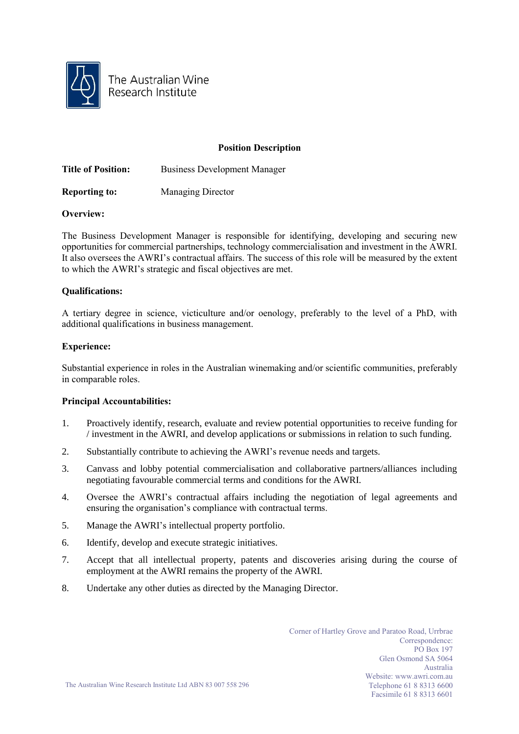

The Australian Wine Research Institute

# **Position Description**

**Title of Position:** Business Development Manager

**Reporting to:** Managing Director

# **Overview:**

The Business Development Manager is responsible for identifying, developing and securing new opportunities for commercial partnerships, technology commercialisation and investment in the AWRI. It also oversees the AWRI's contractual affairs. The success of this role will be measured by the extent to which the AWRI's strategic and fiscal objectives are met.

# **Qualifications:**

A tertiary degree in science, victiculture and/or oenology, preferably to the level of a PhD, with additional qualifications in business management.

# **Experience:**

Substantial experience in roles in the Australian winemaking and/or scientific communities, preferably in comparable roles.

## **Principal Accountabilities:**

- 1. Proactively identify, research, evaluate and review potential opportunities to receive funding for / investment in the AWRI, and develop applications or submissions in relation to such funding.
- 2. Substantially contribute to achieving the AWRI's revenue needs and targets.
- 3. Canvass and lobby potential commercialisation and collaborative partners/alliances including negotiating favourable commercial terms and conditions for the AWRI.
- 4. Oversee the AWRI's contractual affairs including the negotiation of legal agreements and ensuring the organisation's compliance with contractual terms.
- 5. Manage the AWRI's intellectual property portfolio.
- 6. Identify, develop and execute strategic initiatives.
- 7. Accept that all intellectual property, patents and discoveries arising during the course of employment at the AWRI remains the property of the AWRI.
- 8. Undertake any other duties as directed by the Managing Director.